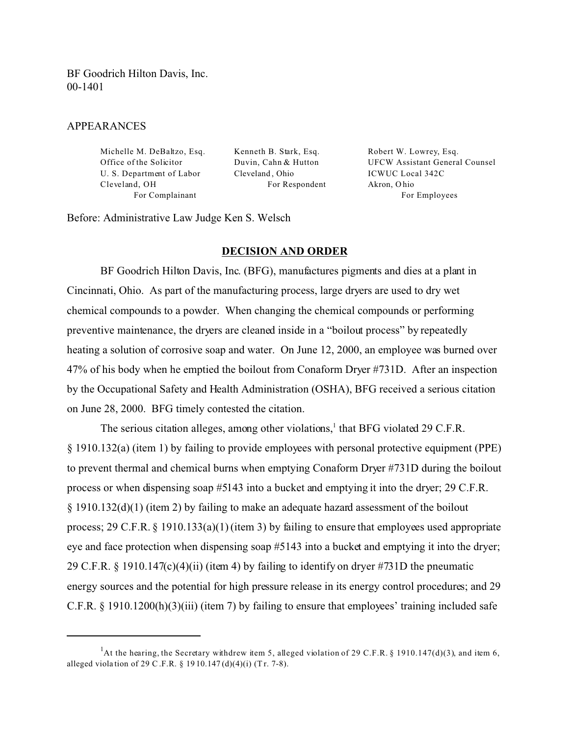BF Goodrich Hilton Davis, Inc. 00-1401

### APPEARANCES

Michelle M. DeBaltzo, Esq. Kenneth B. Stark, Esq. Robert W. Lowrey, Esq. U. S. Department of Labor Cleveland, Ohio ICWUC Local 342C Cleveland, OH For Respondent Akron, Ohio

Office of the Solicitor Duvin, Cahn & Hutton UFCW Assistant General Counsel For Complainant For Employees

Before: Administrative Law Judge Ken S. Welsch

#### **DECISION AND ORDER**

BF Goodrich Hilton Davis, Inc. (BFG), manufactures pigments and dies at a plant in Cincinnati, Ohio. As part of the manufacturing process, large dryers are used to dry wet chemical compounds to a powder. When changing the chemical compounds or performing preventive maintenance, the dryers are cleaned inside in a "boilout process" by repeatedly heating a solution of corrosive soap and water. On June 12, 2000, an employee was burned over 47% of his body when he emptied the boilout from Conaform Dryer #731D. After an inspection by the Occupational Safety and Health Administration (OSHA), BFG received a serious citation on June 28, 2000. BFG timely contested the citation.

The serious citation alleges, among other violations,<sup>1</sup> that BFG violated 29 C.F.R. § 1910.132(a) (item 1) by failing to provide employees with personal protective equipment (PPE) to prevent thermal and chemical burns when emptying Conaform Dryer #731D during the boilout process or when dispensing soap #5143 into a bucket and emptying it into the dryer; 29 C.F.R. § 1910.132(d)(1) (item 2) by failing to make an adequate hazard assessment of the boilout process; 29 C.F.R. § 1910.133(a)(1) (item 3) by failing to ensure that employees used appropriate eye and face protection when dispensing soap #5143 into a bucket and emptying it into the dryer; 29 C.F.R. § 1910.147(c)(4)(ii) (item 4) by failing to identify on dryer #731D the pneumatic energy sources and the potential for high pressure release in its energy control procedures; and 29 C.F.R. § 1910.1200(h)(3)(iii) (item 7) by failing to ensure that employees' training included safe

<sup>&</sup>lt;sup>1</sup>At the hearing, the Secretary withdrew item 5, alleged violation of 29 C.F.R. § 1910.147(d)(3), and item 6, alleged viola tion of 29 C .F.R. § 19 10.147 (d)(4)(i) (T r. 7-8).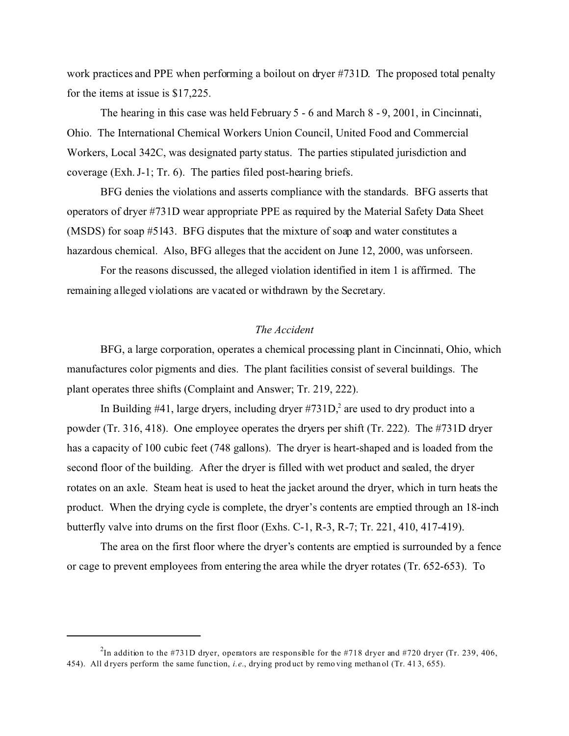work practices and PPE when performing a boilout on dryer #731D. The proposed total penalty for the items at issue is \$17,225.

The hearing in this case was held February 5 - 6 and March 8 - 9, 2001, in Cincinnati, Ohio. The International Chemical Workers Union Council, United Food and Commercial Workers, Local 342C, was designated party status. The parties stipulated jurisdiction and coverage (Exh. J-1; Tr. 6). The parties filed post-hearing briefs.

BFG denies the violations and asserts compliance with the standards. BFG asserts that operators of dryer #731D wear appropriate PPE as required by the Material Safety Data Sheet (MSDS) for soap #5143. BFG disputes that the mixture of soap and water constitutes a hazardous chemical. Also, BFG alleges that the accident on June 12, 2000, was unforseen.

For the reasons discussed, the alleged violation identified in item 1 is affirmed. The remaining alleged violations are vacated or withdrawn by the Secretary.

# *The Accident*

BFG, a large corporation, operates a chemical processing plant in Cincinnati, Ohio, which manufactures color pigments and dies. The plant facilities consist of several buildings. The plant operates three shifts (Complaint and Answer; Tr. 219, 222).

In Building  $#41$ , large dryers, including dryer  $#731D<sub>1</sub><sup>2</sup>$  are used to dry product into a powder (Tr. 316, 418). One employee operates the dryers per shift (Tr. 222). The #731D dryer has a capacity of 100 cubic feet (748 gallons). The dryer is heart-shaped and is loaded from the second floor of the building. After the dryer is filled with wet product and sealed, the dryer rotates on an axle. Steam heat is used to heat the jacket around the dryer, which in turn heats the product. When the drying cycle is complete, the dryer's contents are emptied through an 18-inch butterfly valve into drums on the first floor (Exhs. C-1, R-3, R-7; Tr. 221, 410, 417-419).

The area on the first floor where the dryer's contents are emptied is surrounded by a fence or cage to prevent employees from entering the area while the dryer rotates (Tr. 652-653). To

<sup>&</sup>lt;sup>2</sup>In addition to the #731D dryer, operators are responsible for the #718 dryer and #720 dryer (Tr. 239, 406, 454). All d ryers perform the same func tion, *i.e.*, drying prod uct by remo ving methan ol (Tr. 41 3, 655).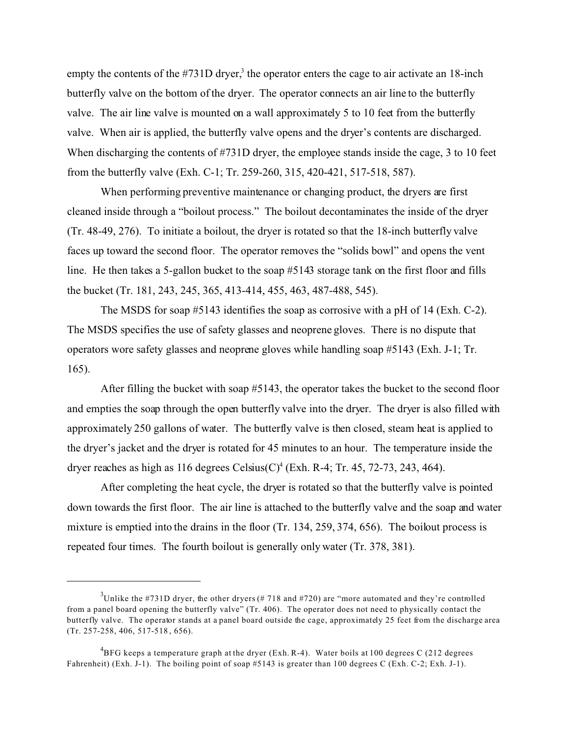empty the contents of the  $#731D$  dryer,<sup>3</sup> the operator enters the cage to air activate an 18-inch butterfly valve on the bottom of the dryer. The operator connects an air line to the butterfly valve. The air line valve is mounted on a wall approximately 5 to 10 feet from the butterfly valve. When air is applied, the butterfly valve opens and the dryer's contents are discharged. When discharging the contents of #731D dryer, the employee stands inside the cage, 3 to 10 feet from the butterfly valve (Exh. C-1; Tr. 259-260, 315, 420-421, 517-518, 587).

When performing preventive maintenance or changing product, the dryers are first cleaned inside through a "boilout process." The boilout decontaminates the inside of the dryer (Tr. 48-49, 276). To initiate a boilout, the dryer is rotated so that the 18-inch butterfly valve faces up toward the second floor. The operator removes the "solids bowl" and opens the vent line. He then takes a 5-gallon bucket to the soap #5143 storage tank on the first floor and fills the bucket (Tr. 181, 243, 245, 365, 413-414, 455, 463, 487-488, 545).

The MSDS for soap #5143 identifies the soap as corrosive with a pH of 14 (Exh. C-2). The MSDS specifies the use of safety glasses and neoprene gloves. There is no dispute that operators wore safety glasses and neoprene gloves while handling soap #5143 (Exh. J-1; Tr. 165).

After filling the bucket with soap #5143, the operator takes the bucket to the second floor and empties the soap through the open butterfly valve into the dryer. The dryer is also filled with approximately 250 gallons of water. The butterfly valve is then closed, steam heat is applied to the dryer's jacket and the dryer is rotated for 45 minutes to an hour. The temperature inside the dryer reaches as high as 116 degrees Celsius(C)<sup>4</sup> (Exh. R-4; Tr. 45, 72-73, 243, 464).

After completing the heat cycle, the dryer is rotated so that the butterfly valve is pointed down towards the first floor. The air line is attached to the butterfly valve and the soap and water mixture is emptied into the drains in the floor (Tr. 134, 259, 374, 656). The boilout process is repeated four times. The fourth boilout is generally only water (Tr. 378, 381).

<sup>&</sup>lt;sup>3</sup>Unlike the #731D dryer, the other dryers (# 718 and #720) are "more automated and they're controlled from a panel board opening the butterfly valve" (Tr. 406). The operator does not need to physically contact the butterfly valve. The operator stands at a panel board outside the cage, approximately 25 feet from the discharge area (Tr. 257-258, 406, 517-518 , 656).

 ${\rm ^4BFG}$  keeps a temperature graph at the dryer (Exh. R-4). Water boils at 100 degrees C (212 degrees Fahrenheit) (Exh. J-1). The boiling point of soap #5143 is greater than 100 degrees C (Exh. C-2; Exh. J-1).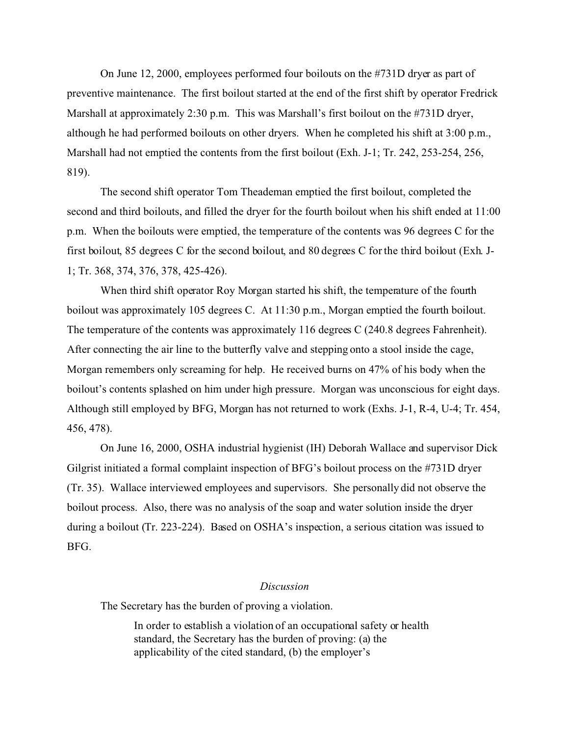On June 12, 2000, employees performed four boilouts on the #731D dryer as part of preventive maintenance. The first boilout started at the end of the first shift by operator Fredrick Marshall at approximately 2:30 p.m. This was Marshall's first boilout on the #731D dryer, although he had performed boilouts on other dryers. When he completed his shift at 3:00 p.m., Marshall had not emptied the contents from the first boilout (Exh. J-1; Tr. 242, 253-254, 256, 819).

The second shift operator Tom Theademan emptied the first boilout, completed the second and third boilouts, and filled the dryer for the fourth boilout when his shift ended at 11:00 p.m. When the boilouts were emptied, the temperature of the contents was 96 degrees C for the first boilout, 85 degrees C for the second boilout, and 80 degrees C for the third boilout (Exh. J-1; Tr. 368, 374, 376, 378, 425-426).

When third shift operator Roy Morgan started his shift, the temperature of the fourth boilout was approximately 105 degrees C. At 11:30 p.m., Morgan emptied the fourth boilout. The temperature of the contents was approximately 116 degrees C (240.8 degrees Fahrenheit). After connecting the air line to the butterfly valve and stepping onto a stool inside the cage, Morgan remembers only screaming for help. He received burns on 47% of his body when the boilout's contents splashed on him under high pressure. Morgan was unconscious for eight days. Although still employed by BFG, Morgan has not returned to work (Exhs. J-1, R-4, U-4; Tr. 454, 456, 478).

On June 16, 2000, OSHA industrial hygienist (IH) Deborah Wallace and supervisor Dick Gilgrist initiated a formal complaint inspection of BFG's boilout process on the #731D dryer (Tr. 35). Wallace interviewed employees and supervisors. She personally did not observe the boilout process. Also, there was no analysis of the soap and water solution inside the dryer during a boilout (Tr. 223-224). Based on OSHA's inspection, a serious citation was issued to BFG.

#### *Discussion*

The Secretary has the burden of proving a violation.

In order to establish a violation of an occupational safety or health standard, the Secretary has the burden of proving: (a) the applicability of the cited standard, (b) the employer's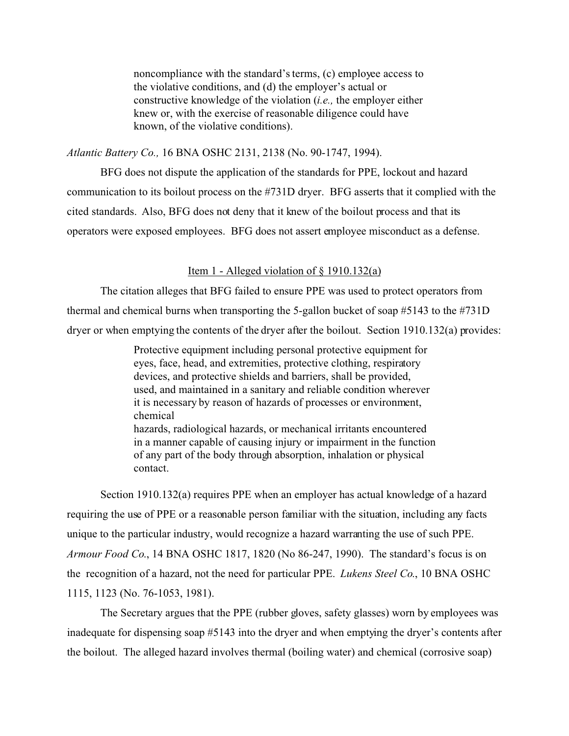noncompliance with the standard's terms, (c) employee access to the violative conditions, and (d) the employer's actual or constructive knowledge of the violation (*i.e.,* the employer either knew or, with the exercise of reasonable diligence could have known, of the violative conditions).

*Atlantic Battery Co.,* 16 BNA OSHC 2131, 2138 (No. 90-1747, 1994).

BFG does not dispute the application of the standards for PPE, lockout and hazard communication to its boilout process on the #731D dryer. BFG asserts that it complied with the cited standards. Also, BFG does not deny that it knew of the boilout process and that its operators were exposed employees. BFG does not assert employee misconduct as a defense.

## Item 1 - Alleged violation of  $\S$  1910.132(a)

The citation alleges that BFG failed to ensure PPE was used to protect operators from thermal and chemical burns when transporting the 5-gallon bucket of soap #5143 to the #731D dryer or when emptying the contents of the dryer after the boilout. Section 1910.132(a) provides:

> Protective equipment including personal protective equipment for eyes, face, head, and extremities, protective clothing, respiratory devices, and protective shields and barriers, shall be provided, used, and maintained in a sanitary and reliable condition wherever it is necessary by reason of hazards of processes or environment, chemical hazards, radiological hazards, or mechanical irritants encountered in a manner capable of causing injury or impairment in the function of any part of the body through absorption, inhalation or physical contact.

Section 1910.132(a) requires PPE when an employer has actual knowledge of a hazard requiring the use of PPE or a reasonable person familiar with the situation, including any facts unique to the particular industry, would recognize a hazard warranting the use of such PPE. *Armour Food Co*., 14 BNA OSHC 1817, 1820 (No 86-247, 1990). The standard's focus is on the recognition of a hazard, not the need for particular PPE. *Lukens Steel Co*., 10 BNA OSHC 1115, 1123 (No. 76-1053, 1981).

The Secretary argues that the PPE (rubber gloves, safety glasses) worn by employees was inadequate for dispensing soap #5143 into the dryer and when emptying the dryer's contents after the boilout. The alleged hazard involves thermal (boiling water) and chemical (corrosive soap)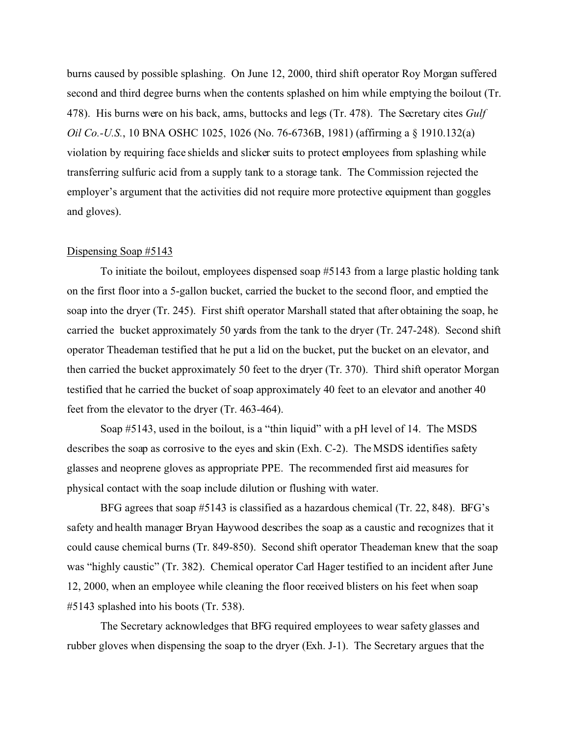burns caused by possible splashing. On June 12, 2000, third shift operator Roy Morgan suffered second and third degree burns when the contents splashed on him while emptying the boilout (Tr. 478). His burns were on his back, arms, buttocks and legs (Tr. 478). The Secretary cites *Gulf Oil Co.-U.S.*, 10 BNA OSHC 1025, 1026 (No. 76-6736B, 1981) (affirming a § 1910.132(a) violation by requiring face shields and slicker suits to protect employees from splashing while transferring sulfuric acid from a supply tank to a storage tank. The Commission rejected the employer's argument that the activities did not require more protective equipment than goggles and gloves).

#### Dispensing Soap #5143

To initiate the boilout, employees dispensed soap #5143 from a large plastic holding tank on the first floor into a 5-gallon bucket, carried the bucket to the second floor, and emptied the soap into the dryer (Tr. 245). First shift operator Marshall stated that after obtaining the soap, he carried the bucket approximately 50 yards from the tank to the dryer (Tr. 247-248). Second shift operator Theademan testified that he put a lid on the bucket, put the bucket on an elevator, and then carried the bucket approximately 50 feet to the dryer (Tr. 370). Third shift operator Morgan testified that he carried the bucket of soap approximately 40 feet to an elevator and another 40 feet from the elevator to the dryer (Tr. 463-464).

Soap #5143, used in the boilout, is a "thin liquid" with a pH level of 14. The MSDS describes the soap as corrosive to the eyes and skin (Exh. C-2). The MSDS identifies safety glasses and neoprene gloves as appropriate PPE. The recommended first aid measures for physical contact with the soap include dilution or flushing with water.

BFG agrees that soap #5143 is classified as a hazardous chemical (Tr. 22, 848). BFG's safety and health manager Bryan Haywood describes the soap as a caustic and recognizes that it could cause chemical burns (Tr. 849-850). Second shift operator Theademan knew that the soap was "highly caustic" (Tr. 382). Chemical operator Carl Hager testified to an incident after June 12, 2000, when an employee while cleaning the floor received blisters on his feet when soap #5143 splashed into his boots (Tr. 538).

The Secretary acknowledges that BFG required employees to wear safety glasses and rubber gloves when dispensing the soap to the dryer (Exh. J-1). The Secretary argues that the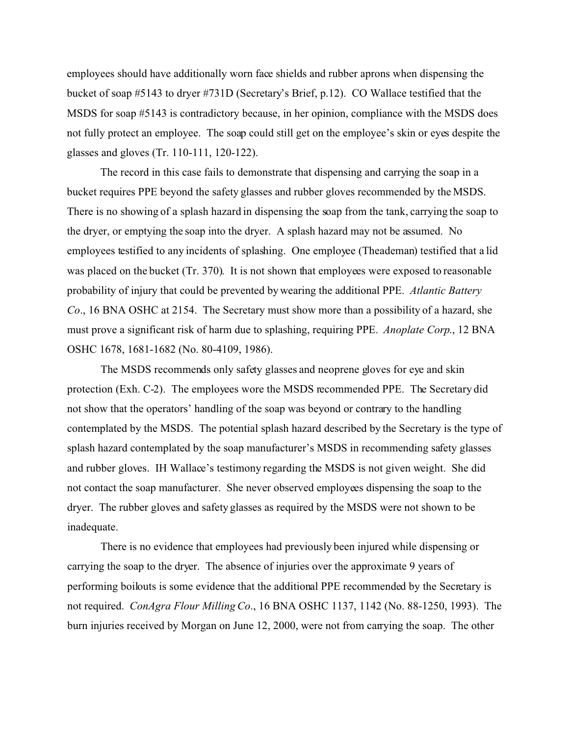employees should have additionally worn face shields and rubber aprons when dispensing the bucket of soap #5143 to dryer #731D (Secretary's Brief, p.12). CO Wallace testified that the MSDS for soap #5143 is contradictory because, in her opinion, compliance with the MSDS does not fully protect an employee. The soap could still get on the employee's skin or eyes despite the glasses and gloves (Tr. 110-111, 120-122).

The record in this case fails to demonstrate that dispensing and carrying the soap in a bucket requires PPE beyond the safety glasses and rubber gloves recommended by the MSDS. There is no showing of a splash hazard in dispensing the soap from the tank, carrying the soap to the dryer, or emptying the soap into the dryer. A splash hazard may not be assumed. No employees testified to any incidents of splashing. One employee (Theademan) testified that a lid was placed on the bucket (Tr. 370). It is not shown that employees were exposed to reasonable probability of injury that could be prevented by wearing the additional PPE. *Atlantic Battery Co*., 16 BNA OSHC at 2154. The Secretary must show more than a possibility of a hazard, she must prove a significant risk of harm due to splashing, requiring PPE. *Anoplate Corp*., 12 BNA OSHC 1678, 1681-1682 (No. 80-4109, 1986).

The MSDS recommends only safety glasses and neoprene gloves for eye and skin protection (Exh. C-2). The employees wore the MSDS recommended PPE. The Secretary did not show that the operators' handling of the soap was beyond or contrary to the handling contemplated by the MSDS. The potential splash hazard described by the Secretary is the type of splash hazard contemplated by the soap manufacturer's MSDS in recommending safety glasses and rubber gloves. IH Wallace's testimony regarding the MSDS is not given weight. She did not contact the soap manufacturer. She never observed employees dispensing the soap to the dryer. The rubber gloves and safety glasses as required by the MSDS were not shown to be inadequate.

There is no evidence that employees had previously been injured while dispensing or carrying the soap to the dryer. The absence of injuries over the approximate 9 years of performing boilouts is some evidence that the additional PPE recommended by the Secretary is not required. *ConAgra Flour Milling Co*., 16 BNA OSHC 1137, 1142 (No. 88-1250, 1993). The burn injuries received by Morgan on June 12, 2000, were not from carrying the soap. The other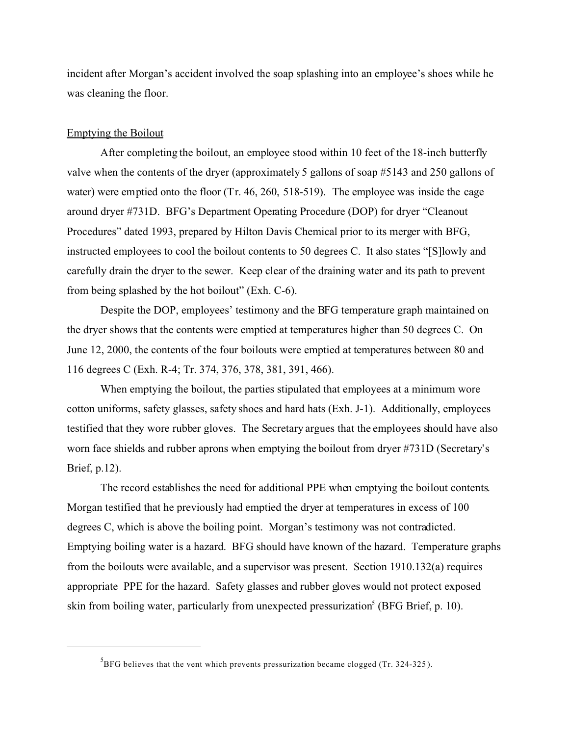incident after Morgan's accident involved the soap splashing into an employee's shoes while he was cleaning the floor.

## Emptying the Boilout

After completing the boilout, an employee stood within 10 feet of the 18-inch butterfly valve when the contents of the dryer (approximately 5 gallons of soap #5143 and 250 gallons of water) were emptied onto the floor (Tr. 46, 260, 518-519). The employee was inside the cage around dryer #731D. BFG's Department Operating Procedure (DOP) for dryer "Cleanout Procedures" dated 1993, prepared by Hilton Davis Chemical prior to its merger with BFG, instructed employees to cool the boilout contents to 50 degrees C. It also states "[S]lowly and carefully drain the dryer to the sewer. Keep clear of the draining water and its path to prevent from being splashed by the hot boilout" (Exh. C-6).

Despite the DOP, employees' testimony and the BFG temperature graph maintained on the dryer shows that the contents were emptied at temperatures higher than 50 degrees C. On June 12, 2000, the contents of the four boilouts were emptied at temperatures between 80 and 116 degrees C (Exh. R-4; Tr. 374, 376, 378, 381, 391, 466).

When emptying the boilout, the parties stipulated that employees at a minimum wore cotton uniforms, safety glasses, safety shoes and hard hats (Exh. J-1). Additionally, employees testified that they wore rubber gloves. The Secretary argues that the employees should have also worn face shields and rubber aprons when emptying the boilout from dryer #731D (Secretary's Brief, p.12).

The record establishes the need for additional PPE when emptying the boilout contents. Morgan testified that he previously had emptied the dryer at temperatures in excess of 100 degrees C, which is above the boiling point. Morgan's testimony was not contradicted. Emptying boiling water is a hazard. BFG should have known of the hazard. Temperature graphs from the boilouts were available, and a supervisor was present. Section 1910.132(a) requires appropriate PPE for the hazard. Safety glasses and rubber gloves would not protect exposed skin from boiling water, particularly from unexpected pressurization<sup>5</sup> (BFG Brief, p. 10).

 ${}^{5}$ BFG believes that the vent which prevents pressurization became clogged (Tr. 324-325).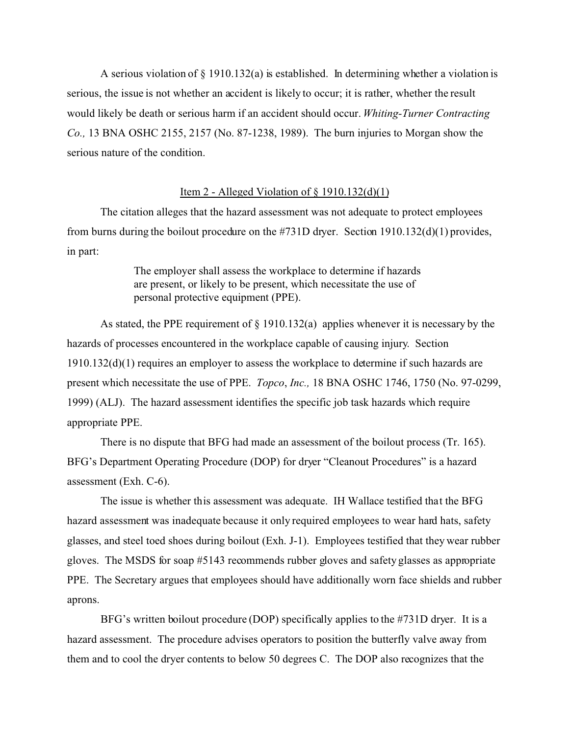A serious violation of  $\S$  1910.132(a) is established. In determining whether a violation is serious, the issue is not whether an accident is likely to occur; it is rather, whether the result would likely be death or serious harm if an accident should occur. *Whiting-Turner Contracting Co.,* 13 BNA OSHC 2155, 2157 (No. 87-1238, 1989). The burn injuries to Morgan show the serious nature of the condition.

### Item 2 - Alleged Violation of  $\S$  1910.132(d)(1)

The citation alleges that the hazard assessment was not adequate to protect employees from burns during the boilout procedure on the #731D dryer. Section 1910.132(d)(1) provides, in part:

> The employer shall assess the workplace to determine if hazards are present, or likely to be present, which necessitate the use of personal protective equipment (PPE).

As stated, the PPE requirement of  $\S$  1910.132(a) applies whenever it is necessary by the hazards of processes encountered in the workplace capable of causing injury. Section 1910.132(d)(1) requires an employer to assess the workplace to determine if such hazards are present which necessitate the use of PPE. *Topco*, *Inc.,* 18 BNA OSHC 1746, 1750 (No. 97-0299, 1999) (ALJ). The hazard assessment identifies the specific job task hazards which require appropriate PPE.

There is no dispute that BFG had made an assessment of the boilout process (Tr. 165). BFG's Department Operating Procedure (DOP) for dryer "Cleanout Procedures" is a hazard assessment (Exh. C-6).

The issue is whether this assessment was adequate. IH Wallace testified that the BFG hazard assessment was inadequate because it only required employees to wear hard hats, safety glasses, and steel toed shoes during boilout (Exh. J-1). Employees testified that they wear rubber gloves. The MSDS for soap #5143 recommends rubber gloves and safety glasses as appropriate PPE. The Secretary argues that employees should have additionally worn face shields and rubber aprons.

BFG's written boilout procedure (DOP) specifically applies to the #731D dryer. It is a hazard assessment. The procedure advises operators to position the butterfly valve away from them and to cool the dryer contents to below 50 degrees C. The DOP also recognizes that the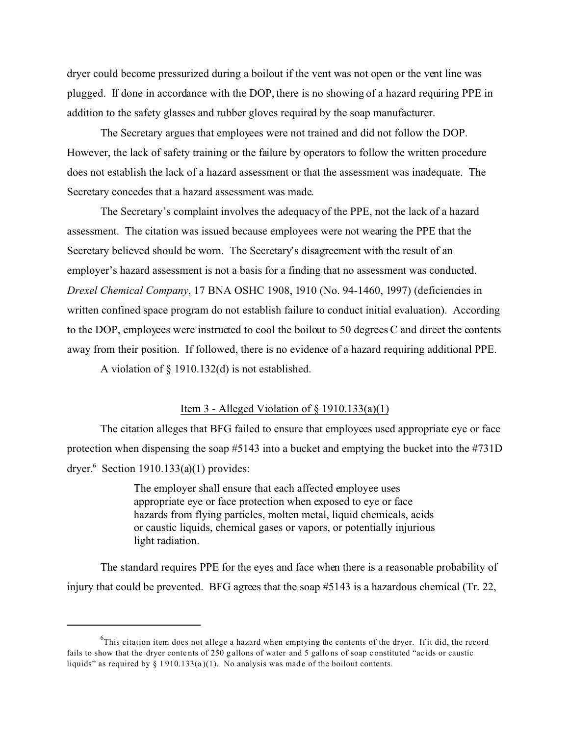dryer could become pressurized during a boilout if the vent was not open or the vent line was plugged. If done in accordance with the DOP, there is no showing of a hazard requiring PPE in addition to the safety glasses and rubber gloves required by the soap manufacturer.

The Secretary argues that employees were not trained and did not follow the DOP. However, the lack of safety training or the failure by operators to follow the written procedure does not establish the lack of a hazard assessment or that the assessment was inadequate. The Secretary concedes that a hazard assessment was made.

The Secretary's complaint involves the adequacy of the PPE, not the lack of a hazard assessment. The citation was issued because employees were not wearing the PPE that the Secretary believed should be worn. The Secretary's disagreement with the result of an employer's hazard assessment is not a basis for a finding that no assessment was conducted. *Drexel Chemical Company*, 17 BNA OSHC 1908, 1910 (No. 94-1460, 1997) (deficiencies in written confined space program do not establish failure to conduct initial evaluation). According to the DOP, employees were instructed to cool the boilout to 50 degrees C and direct the contents away from their position. If followed, there is no evidence of a hazard requiring additional PPE.

A violation of § 1910.132(d) is not established.

## Item 3 - Alleged Violation of  $\S$  1910.133(a)(1)

The citation alleges that BFG failed to ensure that employees used appropriate eye or face protection when dispensing the soap #5143 into a bucket and emptying the bucket into the #731D dryer. $6$  Section 1910.133(a)(1) provides:

> The employer shall ensure that each affected employee uses appropriate eye or face protection when exposed to eye or face hazards from flying particles, molten metal, liquid chemicals, acids or caustic liquids, chemical gases or vapors, or potentially injurious light radiation.

The standard requires PPE for the eyes and face when there is a reasonable probability of injury that could be prevented. BFG agrees that the soap #5143 is a hazardous chemical (Tr. 22,

 $6$ This citation item does not allege a hazard when emptying the contents of the dryer. If it did, the record fails to show that the dryer contents of 250 g allons of water and 5 gallons of soap constituted "acids or caustic liquids" as required by  $\S 1910.133(a)(1)$ . No analysis was made of the boilout contents.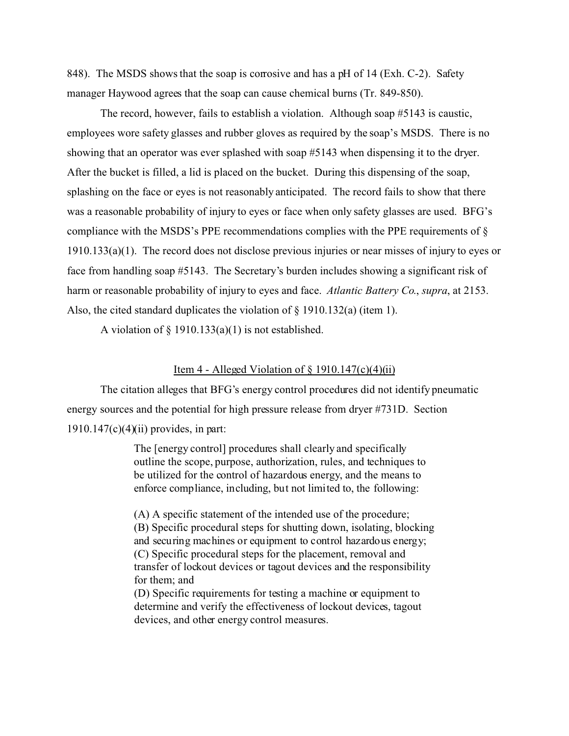848). The MSDS shows that the soap is corrosive and has a pH of 14 (Exh. C-2). Safety manager Haywood agrees that the soap can cause chemical burns (Tr. 849-850).

The record, however, fails to establish a violation. Although soap #5143 is caustic, employees wore safety glasses and rubber gloves as required by the soap's MSDS. There is no showing that an operator was ever splashed with soap #5143 when dispensing it to the dryer. After the bucket is filled, a lid is placed on the bucket. During this dispensing of the soap, splashing on the face or eyes is not reasonably anticipated. The record fails to show that there was a reasonable probability of injury to eyes or face when only safety glasses are used. BFG's compliance with the MSDS's PPE recommendations complies with the PPE requirements of  $\S$ 1910.133(a)(1). The record does not disclose previous injuries or near misses of injury to eyes or face from handling soap #5143. The Secretary's burden includes showing a significant risk of harm or reasonable probability of injury to eyes and face. *Atlantic Battery Co*., *supra*, at 2153. Also, the cited standard duplicates the violation of § 1910.132(a) (item 1).

A violation of  $\S$  1910.133(a)(1) is not established.

### Item 4 - Alleged Violation of  $\S$  1910.147(c)(4)(ii)

The citation alleges that BFG's energy control procedures did not identify pneumatic energy sources and the potential for high pressure release from dryer #731D. Section  $1910.147(c)(4)(ii)$  provides, in part:

> The [energy control] procedures shall clearly and specifically outline the scope, purpose, authorization, rules, and techniques to be utilized for the control of hazardous energy, and the means to enforce compliance, including, but not limited to, the following:

(A) A specific statement of the intended use of the procedure; (B) Specific procedural steps for shutting down, isolating, blocking and securing machines or equipment to control hazardous energy; (C) Specific procedural steps for the placement, removal and transfer of lockout devices or tagout devices and the responsibility for them; and

(D) Specific requirements for testing a machine or equipment to determine and verify the effectiveness of lockout devices, tagout devices, and other energy control measures.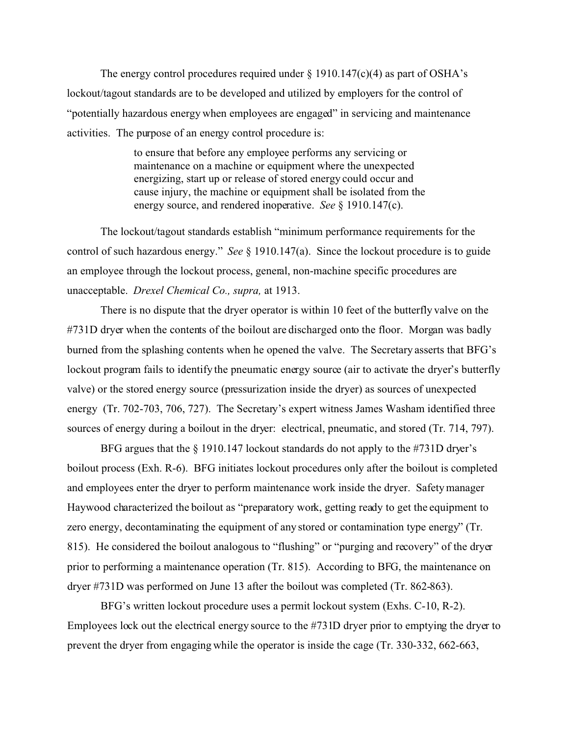The energy control procedures required under  $\S$  1910.147(c)(4) as part of OSHA's lockout/tagout standards are to be developed and utilized by employers for the control of "potentially hazardous energy when employees are engaged" in servicing and maintenance activities. The purpose of an energy control procedure is:

> to ensure that before any employee performs any servicing or maintenance on a machine or equipment where the unexpected energizing, start up or release of stored energy could occur and cause injury, the machine or equipment shall be isolated from the energy source, and rendered inoperative. *See* § 1910.147(c).

The lockout/tagout standards establish "minimum performance requirements for the control of such hazardous energy." *See* § 1910.147(a). Since the lockout procedure is to guide an employee through the lockout process, general, non-machine specific procedures are unacceptable. *Drexel Chemical Co., supra,* at 1913.

There is no dispute that the dryer operator is within 10 feet of the butterfly valve on the #731D dryer when the contents of the boilout are discharged onto the floor. Morgan was badly burned from the splashing contents when he opened the valve. The Secretary asserts that BFG's lockout program fails to identify the pneumatic energy source (air to activate the dryer's butterfly valve) or the stored energy source (pressurization inside the dryer) as sources of unexpected energy (Tr. 702-703, 706, 727). The Secretary's expert witness James Washam identified three sources of energy during a boilout in the dryer: electrical, pneumatic, and stored (Tr. 714, 797).

BFG argues that the § 1910.147 lockout standards do not apply to the #731D dryer's boilout process (Exh. R-6). BFG initiates lockout procedures only after the boilout is completed and employees enter the dryer to perform maintenance work inside the dryer. Safety manager Haywood characterized the boilout as "preparatory work, getting ready to get the equipment to zero energy, decontaminating the equipment of any stored or contamination type energy" (Tr. 815). He considered the boilout analogous to "flushing" or "purging and recovery" of the dryer prior to performing a maintenance operation (Tr. 815). According to BFG, the maintenance on dryer #731D was performed on June 13 after the boilout was completed (Tr. 862-863).

BFG's written lockout procedure uses a permit lockout system (Exhs. C-10, R-2). Employees lock out the electrical energy source to the #731D dryer prior to emptying the dryer to prevent the dryer from engaging while the operator is inside the cage (Tr. 330-332, 662-663,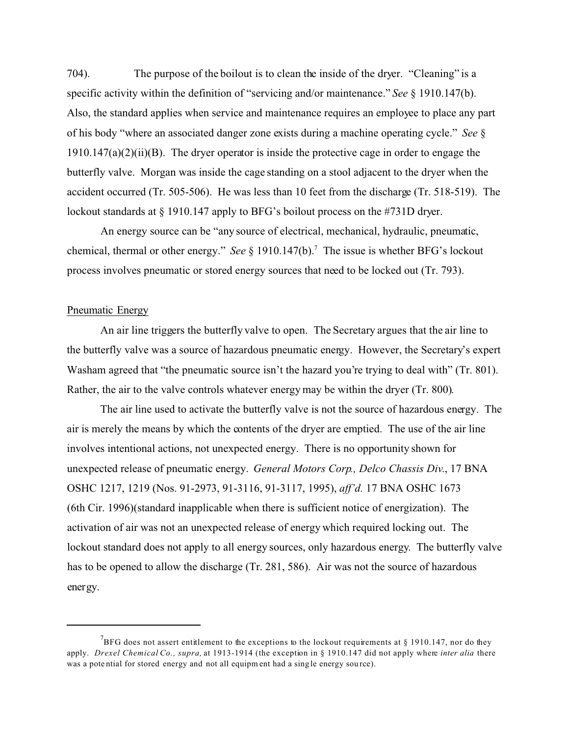704). The purpose of the boilout is to clean the inside of the dryer. "Cleaning" is a specific activity within the definition of "servicing and/or maintenance." *See* § 1910.147(b). Also, the standard applies when service and maintenance requires an employee to place any part of his body "where an associated danger zone exists during a machine operating cycle." *See* § 1910.147(a)(2)(ii)(B). The dryer operator is inside the protective cage in order to engage the butterfly valve. Morgan was inside the cage standing on a stool adjacent to the dryer when the accident occurred (Tr. 505-506). He was less than 10 feet from the discharge (Tr. 518-519). The lockout standards at § 1910.147 apply to BFG's boilout process on the #731D dryer.

An energy source can be "any source of electrical, mechanical, hydraulic, pneumatic, chemical, thermal or other energy." *See* § 1910.147(b).7 The issue is whether BFG's lockout process involves pneumatic or stored energy sources that need to be locked out (Tr. 793).

### Pneumatic Energy

An air line triggers the butterfly valve to open. The Secretary argues that the air line to the butterfly valve was a source of hazardous pneumatic energy. However, the Secretary's expert Washam agreed that "the pneumatic source isn't the hazard you're trying to deal with" (Tr. 801). Rather, the air to the valve controls whatever energy may be within the dryer (Tr. 800).

The air line used to activate the butterfly valve is not the source of hazardous energy. The air is merely the means by which the contents of the dryer are emptied. The use of the air line involves intentional actions, not unexpected energy. There is no opportunity shown for unexpected release of pneumatic energy. *General Motors Corp., Delco Chassis Div*., 17 BNA OSHC 1217, 1219 (Nos. 91-2973, 91-3116, 91-3117, 1995), *aff'd.* 17 BNA OSHC 1673 (6th Cir. 1996)(standard inapplicable when there is sufficient notice of energization). The activation of air was not an unexpected release of energy which required locking out. The lockout standard does not apply to all energy sources, only hazardous energy. The butterfly valve has to be opened to allow the discharge (Tr. 281, 586). Air was not the source of hazardous energy.

<sup>&</sup>lt;sup>7</sup>BFG does not assert entitlement to the exceptions to the lockout requirements at § 1910.147, nor do they apply. *Drexel Chemical Co., supra,* at 1913-1914 (the exception in § 1910.147 did not apply where *inter alia* there was a pote ntial for stored energy and not all equipm ent had a sing le energy sou rce).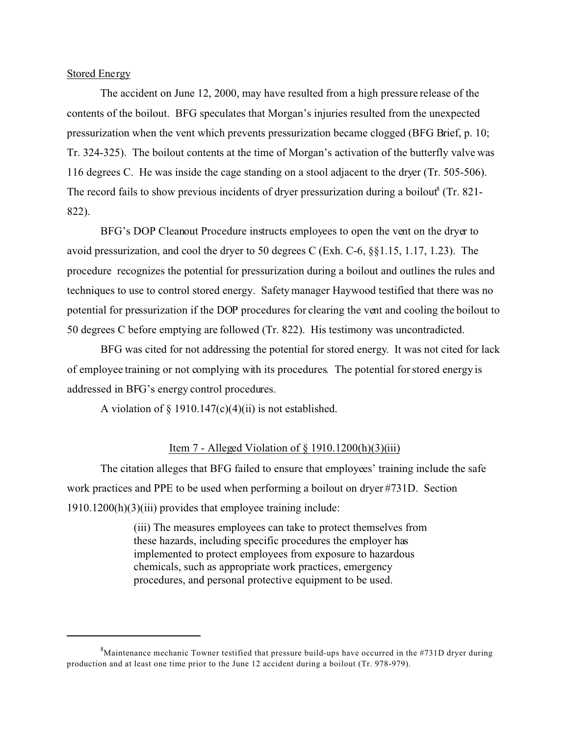Stored Energy

The accident on June 12, 2000, may have resulted from a high pressure release of the contents of the boilout. BFG speculates that Morgan's injuries resulted from the unexpected pressurization when the vent which prevents pressurization became clogged (BFG Brief, p. 10; Tr. 324-325). The boilout contents at the time of Morgan's activation of the butterfly valve was 116 degrees C. He was inside the cage standing on a stool adjacent to the dryer (Tr. 505-506). The record fails to show previous incidents of dryer pressurization during a boilout (Tr. 821-822).

BFG's DOP Cleanout Procedure instructs employees to open the vent on the dryer to avoid pressurization, and cool the dryer to 50 degrees C (Exh. C-6, §§1.15, 1.17, 1.23). The procedure recognizes the potential for pressurization during a boilout and outlines the rules and techniques to use to control stored energy. Safety manager Haywood testified that there was no potential for pressurization if the DOP procedures for clearing the vent and cooling the boilout to 50 degrees C before emptying are followed (Tr. 822). His testimony was uncontradicted.

BFG was cited for not addressing the potential for stored energy. It was not cited for lack of employee training or not complying with its procedures. The potential for stored energy is addressed in BFG's energy control procedures.

A violation of  $\S$  1910.147(c)(4)(ii) is not established.

## Item 7 - Alleged Violation of  $\S$  1910.1200(h)(3)(iii)

The citation alleges that BFG failed to ensure that employees' training include the safe work practices and PPE to be used when performing a boilout on dryer #731D. Section 1910.1200(h)(3)(iii) provides that employee training include:

> (iii) The measures employees can take to protect themselves from these hazards, including specific procedures the employer has implemented to protect employees from exposure to hazardous chemicals, such as appropriate work practices, emergency procedures, and personal protective equipment to be used.

 ${}^{8}$ Maintenance mechanic Towner testified that pressure build-ups have occurred in the #731D dryer during production and at least one time prior to the June 12 accident during a boilout (Tr. 978-979).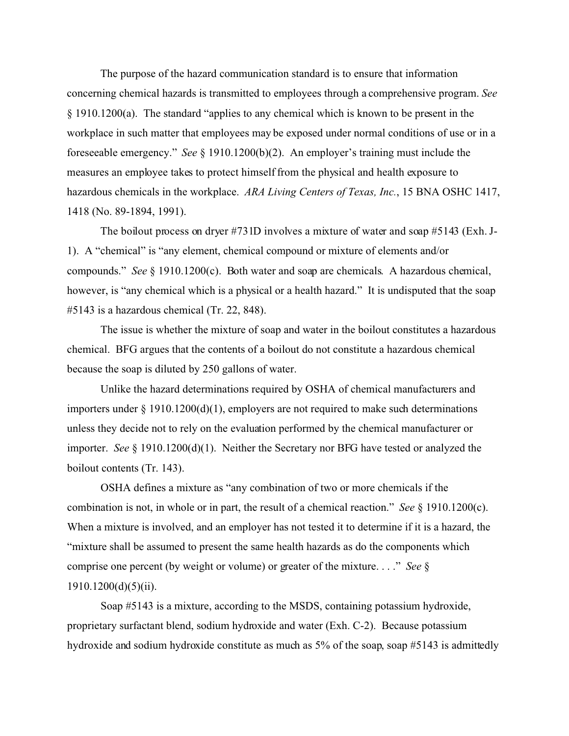The purpose of the hazard communication standard is to ensure that information concerning chemical hazards is transmitted to employees through a comprehensive program. *See*  § 1910.1200(a). The standard "applies to any chemical which is known to be present in the workplace in such matter that employees may be exposed under normal conditions of use or in a foreseeable emergency." *See* § 1910.1200(b)(2). An employer's training must include the measures an employee takes to protect himself from the physical and health exposure to hazardous chemicals in the workplace. *ARA Living Centers of Texas, Inc.*, 15 BNA OSHC 1417, 1418 (No. 89-1894, 1991).

The boilout process on dryer #731D involves a mixture of water and soap #5143 (Exh. J-1). A "chemical" is "any element, chemical compound or mixture of elements and/or compounds." *See* § 1910.1200(c). Both water and soap are chemicals. A hazardous chemical, however, is "any chemical which is a physical or a health hazard." It is undisputed that the soap #5143 is a hazardous chemical (Tr. 22, 848).

The issue is whether the mixture of soap and water in the boilout constitutes a hazardous chemical. BFG argues that the contents of a boilout do not constitute a hazardous chemical because the soap is diluted by 250 gallons of water.

Unlike the hazard determinations required by OSHA of chemical manufacturers and importers under § 1910.1200(d)(1), employers are not required to make such determinations unless they decide not to rely on the evaluation performed by the chemical manufacturer or importer. *See* § 1910.1200(d)(1). Neither the Secretary nor BFG have tested or analyzed the boilout contents (Tr. 143).

OSHA defines a mixture as "any combination of two or more chemicals if the combination is not, in whole or in part, the result of a chemical reaction." *See*  $\S$  1910.1200(c). When a mixture is involved, and an employer has not tested it to determine if it is a hazard, the "mixture shall be assumed to present the same health hazards as do the components which comprise one percent (by weight or volume) or greater of the mixture. . . ." *See* §  $1910.1200(d)(5)(ii)$ .

Soap #5143 is a mixture, according to the MSDS, containing potassium hydroxide, proprietary surfactant blend, sodium hydroxide and water (Exh. C-2). Because potassium hydroxide and sodium hydroxide constitute as much as 5% of the soap, soap #5143 is admittedly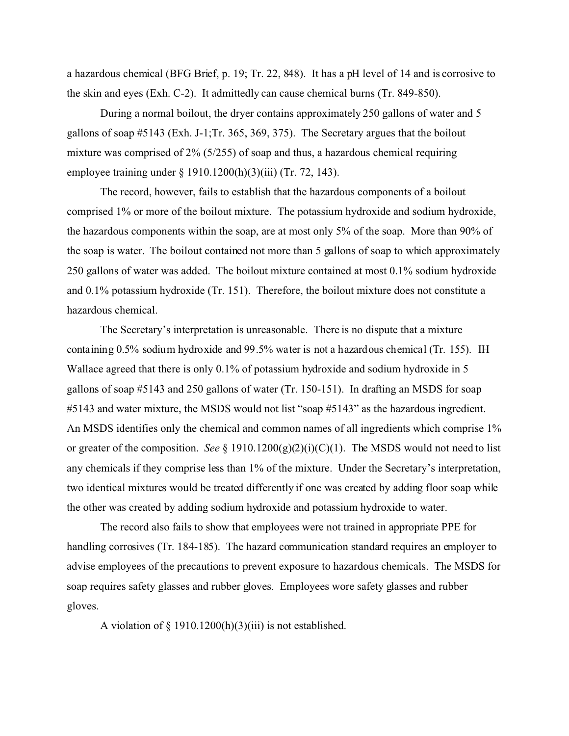a hazardous chemical (BFG Brief, p. 19; Tr. 22, 848). It has a pH level of 14 and is corrosive to the skin and eyes (Exh. C-2). It admittedly can cause chemical burns (Tr. 849-850).

During a normal boilout, the dryer contains approximately 250 gallons of water and 5 gallons of soap #5143 (Exh. J-1;Tr. 365, 369, 375). The Secretary argues that the boilout mixture was comprised of 2% (5/255) of soap and thus, a hazardous chemical requiring employee training under § 1910.1200(h)(3)(iii) (Tr. 72, 143).

The record, however, fails to establish that the hazardous components of a boilout comprised 1% or more of the boilout mixture. The potassium hydroxide and sodium hydroxide, the hazardous components within the soap, are at most only 5% of the soap. More than 90% of the soap is water. The boilout contained not more than 5 gallons of soap to which approximately 250 gallons of water was added. The boilout mixture contained at most 0.1% sodium hydroxide and 0.1% potassium hydroxide (Tr. 151). Therefore, the boilout mixture does not constitute a hazardous chemical.

The Secretary's interpretation is unreasonable. There is no dispute that a mixture containing 0.5% sodium hydroxide and 99.5% water is not a hazardous chemical (Tr. 155). IH Wallace agreed that there is only 0.1% of potassium hydroxide and sodium hydroxide in 5 gallons of soap #5143 and 250 gallons of water (Tr. 150-151). In drafting an MSDS for soap #5143 and water mixture, the MSDS would not list "soap #5143" as the hazardous ingredient. An MSDS identifies only the chemical and common names of all ingredients which comprise 1% or greater of the composition. *See* § 1910.1200(g)(2)(i)(C)(1). The MSDS would not need to list any chemicals if they comprise less than 1% of the mixture. Under the Secretary's interpretation, two identical mixtures would be treated differently if one was created by adding floor soap while the other was created by adding sodium hydroxide and potassium hydroxide to water.

The record also fails to show that employees were not trained in appropriate PPE for handling corrosives (Tr. 184-185). The hazard communication standard requires an employer to advise employees of the precautions to prevent exposure to hazardous chemicals. The MSDS for soap requires safety glasses and rubber gloves. Employees wore safety glasses and rubber gloves.

A violation of  $\S$  1910.1200(h)(3)(iii) is not established.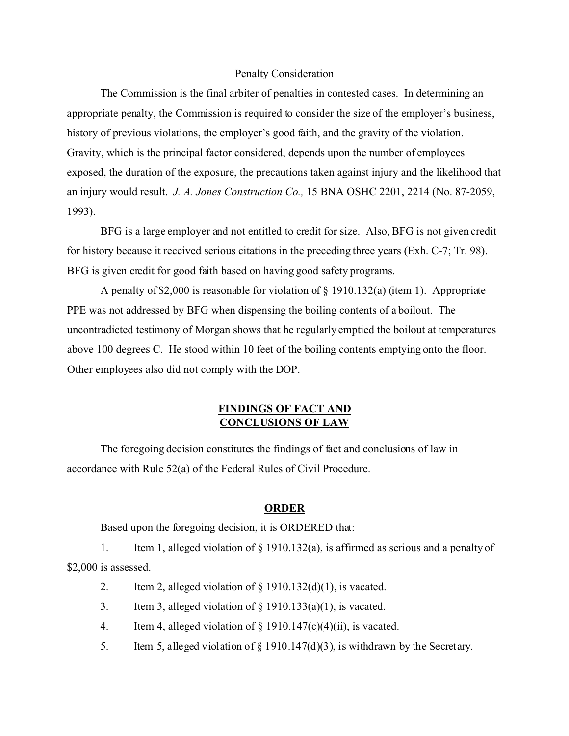## Penalty Consideration

The Commission is the final arbiter of penalties in contested cases. In determining an appropriate penalty, the Commission is required to consider the size of the employer's business, history of previous violations, the employer's good faith, and the gravity of the violation. Gravity, which is the principal factor considered, depends upon the number of employees exposed, the duration of the exposure, the precautions taken against injury and the likelihood that an injury would result. *J. A. Jones Construction Co.,* 15 BNA OSHC 2201, 2214 (No. 87-2059, 1993).

BFG is a large employer and not entitled to credit for size. Also, BFG is not given credit for history because it received serious citations in the preceding three years (Exh. C-7; Tr. 98). BFG is given credit for good faith based on having good safety programs.

A penalty of \$2,000 is reasonable for violation of § 1910.132(a) (item 1). Appropriate PPE was not addressed by BFG when dispensing the boiling contents of a boilout. The uncontradicted testimony of Morgan shows that he regularly emptied the boilout at temperatures above 100 degrees C. He stood within 10 feet of the boiling contents emptying onto the floor. Other employees also did not comply with the DOP.

# **FINDINGS OF FACT AND CONCLUSIONS OF LAW**

The foregoing decision constitutes the findings of fact and conclusions of law in accordance with Rule 52(a) of the Federal Rules of Civil Procedure.

### **ORDER**

Based upon the foregoing decision, it is ORDERED that:

1. Item 1, alleged violation of § 1910.132(a), is affirmed as serious and a penalty of \$2,000 is assessed.

- 2. Item 2, alleged violation of  $\S$  1910.132(d)(1), is vacated.
- 3. Item 3, alleged violation of  $\S$  1910.133(a)(1), is vacated.
- 4. Item 4, alleged violation of  $\S$  1910.147(c)(4)(ii), is vacated.
- 5. Item 5, alleged violation of  $\S$  1910.147(d)(3), is withdrawn by the Secretary.